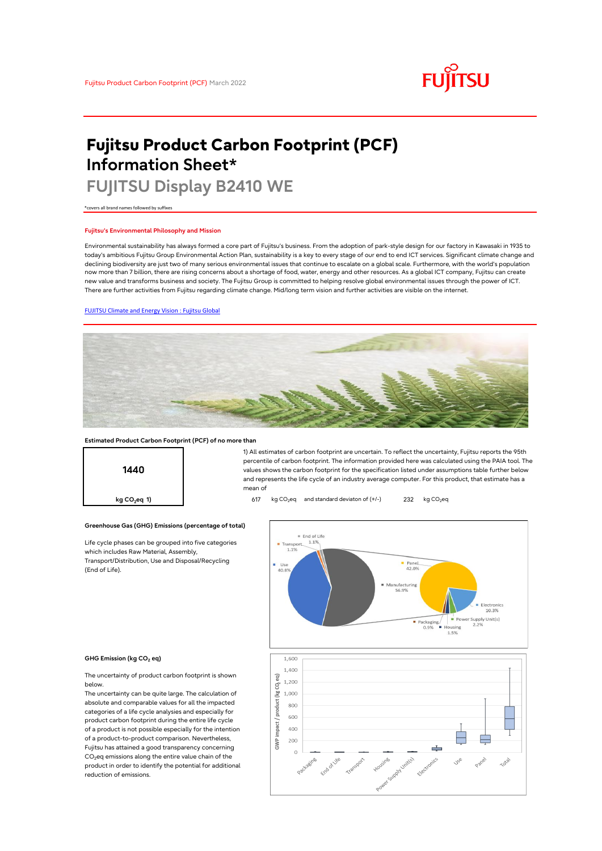# **FUJITSU**

# **Fujitsu Product Carbon Footprint (PCF) Information Sheet\***

# **FUJITSU Display B2410 WE**

\*covers all brand names followed by suffixes

#### **Fujitsu's Environmental Philosophy and Mission**

Environmental sustainability has always formed a core part of Fujitsu's business. From the adoption of park-style design for our factory in Kawasaki in 1935 to today's ambitious Fujitsu Group Environmental Action Plan, sustainability is a key to every stage of our end to end ICT services. Significant climate change and declining biodiversity are just two of many serious environmental issues that continue to escalate on a global scale. Furthermore, with the world's population now more than 7 billion, there are rising concerns about a shortage of food, water, energy and other resources. As a global ICT company, Fujitsu can create new value and transforms business and society. The Fujitsu Group is committed to helping resolve global environmental issues through the power of ICT. There are further activities from Fujitsu regarding climate change. Mid/long term vision and further activities are visible on the internet.

## [FUJITSU Climate and Energy Vision : Fujitsu Global](https://www.fujitsu.com/global/about/environment/climate-energy-vision/)



#### **Estimated Product Carbon Footprint (PCF) of no more than**



1) All estimates of carbon footprint are uncertain. To reflect the uncertainty, Fujitsu reports the 95th percentile of carbon footprint. The information provided here was calculated using the PAIA tool. The values shows the carbon footprint for the specification listed under assumptions table further below and represents the life cycle of an industry average computer. For this product, that estimate has a mean of

**kg CO<sub>2</sub>eq 1) 617** kg CO<sub>2</sub>eq and standard deviaton of (+/-) 232 kg CO<sub>2</sub>eq

### **Greenhouse Gas (GHG) Emissions (percentage of total)**

Life cycle phases can be grouped into five categories which includes Raw Material, Assembly, Transport/Distribution, Use and Disposal/Recycling (End of Life).



#### **GHG Emission (kg CO<sup>2</sup> eq)**

The uncertainty of product carbon footprint is shown below.

The uncertainty can be quite large. The calculation of absolute and comparable values for all the impacted categories of a life cycle analysies and especially for product carbon footprint during the entire life cycle of a product is not possible especially for the intention of a product-to-product comparison. Nevertheless, Fujitsu has attained a good transparency concerning  $CO<sub>2</sub>$ eq emissions along the entire value chain of the product in order to identify the potential for additional reduction of emissions.